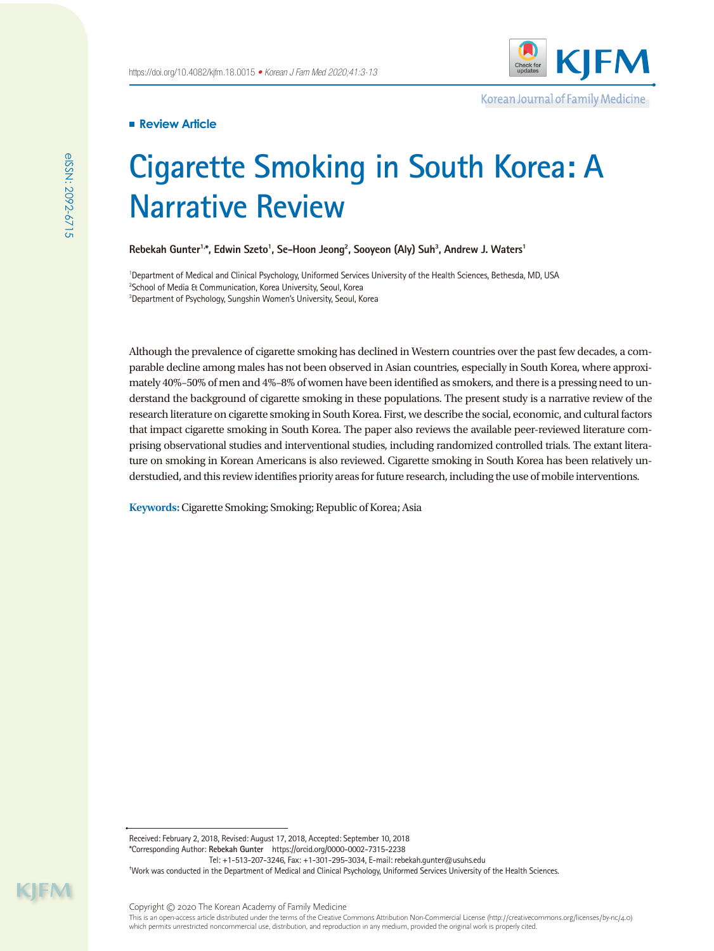

Korean Journal of Family Medicine

# **Review Article**

# **Cigarette Smoking in South Korea: A Narrative Review**

Rebekah Gunter<sup>1,\*</sup>, Edwin Szeto<sup>1</sup>, Se-Hoon Jeong<sup>2</sup>, Sooyeon (Aly) Suh<sup>3</sup>, Andrew J. Waters<sup>1</sup>

<sup>1</sup>Department of Medical and Clinical Psychology, Uniformed Services University of the Health Sciences, Bethesda, MD, USA 2 School of Media & Communication, Korea University, Seoul, Korea 3 Department of Psychology, Sungshin Women's University, Seoul, Korea

Although the prevalence of cigarette smoking has declined in Western countries over the past few decades, a comparable decline among males has not been observed in Asian countries, especially in South Korea, where approximately 40%–50% of men and 4%–8% of women have been identified as smokers, and there is a pressing need to understand the background of cigarette smoking in these populations. The present study is a narrative review of the research literature on cigarette smoking in South Korea. First, we describe the social, economic, and cultural factors that impact cigarette smoking in South Korea. The paper also reviews the available peer-reviewed literature comprising observational studies and interventional studies, including randomized controlled trials. The extant literature on smoking in Korean Americans is also reviewed. Cigarette smoking in South Korea has been relatively understudied, and this review identifies priority areas for future research, including the use of mobile interventions.

**Keywords:** Cigarette Smoking; Smoking; Republic of Korea; Asia

Received: February 2, 2018, Revised: August 17, 2018, Accepted: September 10, 2018 \*Corresponding Author: **Rebekah Gunter** https://orcid.org/0000-0002-7315-2238 Tel: +1-513-207-3246, Fax: +1-301-295-3034, E-mail: rebekah.gunter@usuhs.edu

† Work was conducted in the Department of Medical and Clinical Psychology, Uniformed Services University of the Health Sciences.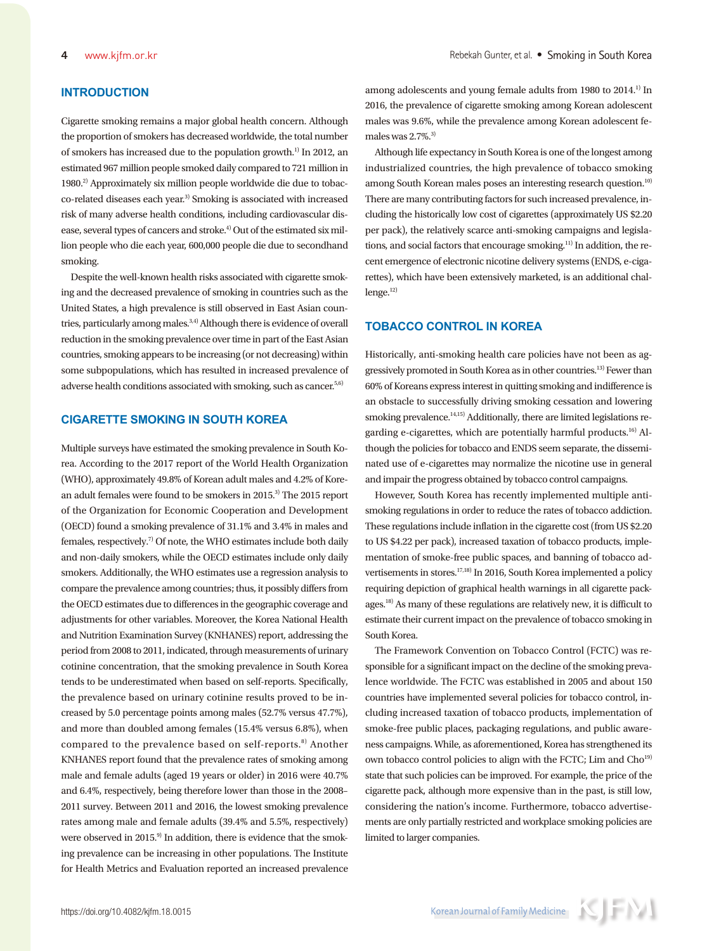# **INTRODUCTION**

Cigarette smoking remains a major global health concern. Although the proportion of smokers has decreased worldwide, the total number of smokers has increased due to the population growth.<sup>1)</sup> In 2012, an estimated 967 million people smoked daily compared to 721 million in 1980.2) Approximately six million people worldwide die due to tobacco-related diseases each year.3) Smoking is associated with increased risk of many adverse health conditions, including cardiovascular disease, several types of cancers and stroke.<sup>4)</sup> Out of the estimated six million people who die each year, 600,000 people die due to secondhand smoking.

Despite the well-known health risks associated with cigarette smoking and the decreased prevalence of smoking in countries such as the United States, a high prevalence is still observed in East Asian countries, particularly among males.<sup>3,4)</sup> Although there is evidence of overall reduction in the smoking prevalence over time in part of the East Asian countries, smoking appears to be increasing (or not decreasing) within some subpopulations, which has resulted in increased prevalence of adverse health conditions associated with smoking, such as cancer.<sup>5,6)</sup>

# **CIGARETTE SMOKING IN SOUTH KOREA**

Multiple surveys have estimated the smoking prevalence in South Korea. According to the 2017 report of the World Health Organization (WHO), approximately 49.8% of Korean adult males and 4.2% of Korean adult females were found to be smokers in 2015.3) The 2015 report of the Organization for Economic Cooperation and Development (OECD) found a smoking prevalence of 31.1% and 3.4% in males and females, respectively.7) Of note, the WHO estimates include both daily and non-daily smokers, while the OECD estimates include only daily smokers. Additionally, the WHO estimates use a regression analysis to compare the prevalence among countries; thus, it possibly differs from the OECD estimates due to differences in the geographic coverage and adjustments for other variables. Moreover, the Korea National Health and Nutrition Examination Survey (KNHANES) report, addressing the period from 2008 to 2011, indicated, through measurements of urinary cotinine concentration, that the smoking prevalence in South Korea tends to be underestimated when based on self-reports. Specifically, the prevalence based on urinary cotinine results proved to be increased by 5.0 percentage points among males (52.7% versus 47.7%), and more than doubled among females (15.4% versus 6.8%), when compared to the prevalence based on self-reports. $8)$  Another KNHANES report found that the prevalence rates of smoking among male and female adults (aged 19 years or older) in 2016 were 40.7% and 6.4%, respectively, being therefore lower than those in the 2008– 2011 survey. Between 2011 and 2016, the lowest smoking prevalence rates among male and female adults (39.4% and 5.5%, respectively) were observed in 2015.<sup>9)</sup> In addition, there is evidence that the smoking prevalence can be increasing in other populations. The Institute for Health Metrics and Evaluation reported an increased prevalence among adolescents and young female adults from 1980 to 2014.<sup>1)</sup> In 2016, the prevalence of cigarette smoking among Korean adolescent males was 9.6%, while the prevalence among Korean adolescent females was  $2.7\%$ .<sup>3)</sup>

Although life expectancy in South Korea is one of the longest among industrialized countries, the high prevalence of tobacco smoking among South Korean males poses an interesting research question.<sup>10)</sup> There are many contributing factors for such increased prevalence, including the historically low cost of cigarettes (approximately US \$2.20 per pack), the relatively scarce anti-smoking campaigns and legislations, and social factors that encourage smoking.<sup>11)</sup> In addition, the recent emergence of electronic nicotine delivery systems (ENDS, e-cigarettes), which have been extensively marketed, is an additional chal $l$ enge. $12)$ 

### **TOBACCO CONTROL IN KOREA**

Historically, anti-smoking health care policies have not been as aggressively promoted in South Korea as in other countries.13) Fewer than 60% of Koreans express interest in quitting smoking and indifference is an obstacle to successfully driving smoking cessation and lowering smoking prevalence.<sup>14,15)</sup> Additionally, there are limited legislations regarding e-cigarettes, which are potentially harmful products.<sup>16)</sup> Although the policies for tobacco and ENDS seem separate, the disseminated use of e-cigarettes may normalize the nicotine use in general and impair the progress obtained by tobacco control campaigns.

However, South Korea has recently implemented multiple antismoking regulations in order to reduce the rates of tobacco addiction. These regulations include inflation in the cigarette cost (from US \$2.20 to US \$4.22 per pack), increased taxation of tobacco products, implementation of smoke-free public spaces, and banning of tobacco advertisements in stores.<sup>17,18)</sup> In 2016, South Korea implemented a policy requiring depiction of graphical health warnings in all cigarette packages.18) As many of these regulations are relatively new, it is difficult to estimate their current impact on the prevalence of tobacco smoking in South Korea.

The Framework Convention on Tobacco Control (FCTC) was responsible for a significant impact on the decline of the smoking prevalence worldwide. The FCTC was established in 2005 and about 150 countries have implemented several policies for tobacco control, including increased taxation of tobacco products, implementation of smoke-free public places, packaging regulations, and public awareness campaigns. While, as aforementioned, Korea has strengthened its own tobacco control policies to align with the FCTC; Lim and Cho<sup>19)</sup> state that such policies can be improved. For example, the price of the cigarette pack, although more expensive than in the past, is still low, considering the nation's income. Furthermore, tobacco advertisements are only partially restricted and workplace smoking policies are limited to larger companies.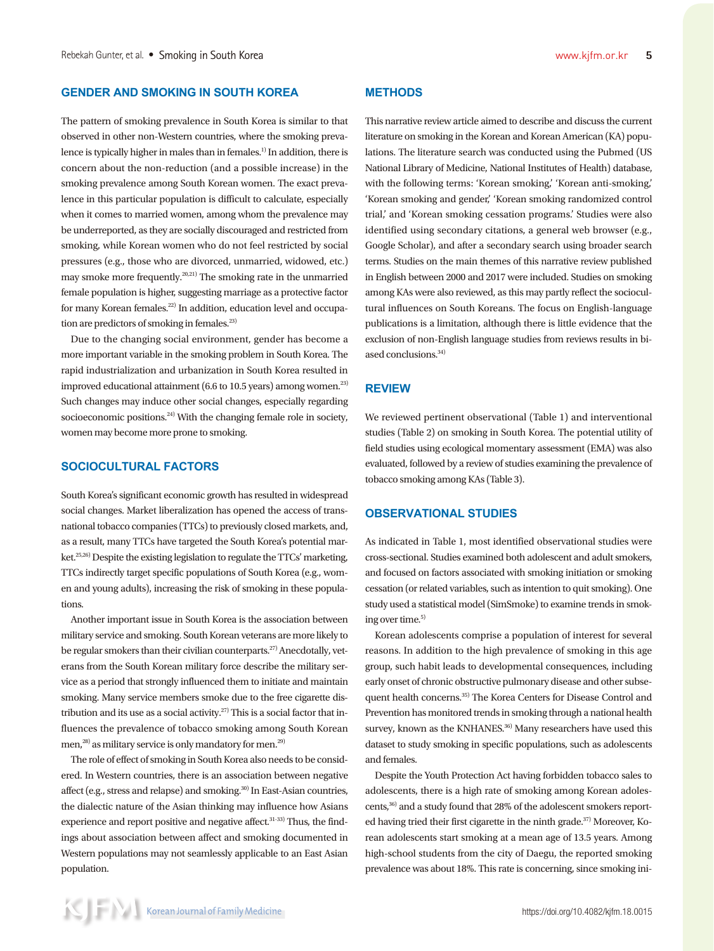# **GENDER AND SMOKING IN SOUTH KOREA**

The pattern of smoking prevalence in South Korea is similar to that observed in other non-Western countries, where the smoking prevalence is typically higher in males than in females.<sup>1)</sup> In addition, there is concern about the non-reduction (and a possible increase) in the smoking prevalence among South Korean women. The exact prevalence in this particular population is difficult to calculate, especially when it comes to married women, among whom the prevalence may be underreported, as they are socially discouraged and restricted from smoking, while Korean women who do not feel restricted by social pressures (e.g., those who are divorced, unmarried, widowed, etc.) may smoke more frequently.20,21) The smoking rate in the unmarried female population is higher, suggesting marriage as a protective factor for many Korean females.<sup>22)</sup> In addition, education level and occupation are predictors of smoking in females.<sup>23)</sup>

Due to the changing social environment, gender has become a more important variable in the smoking problem in South Korea. The rapid industrialization and urbanization in South Korea resulted in improved educational attainment  $(6.6 \text{ to } 10.5 \text{ years})$  among women.<sup>23)</sup> Such changes may induce other social changes, especially regarding socioeconomic positions.<sup>24)</sup> With the changing female role in society, women may become more prone to smoking.

# **SOCIOCULTURAL FACTORS**

South Korea's significant economic growth has resulted in widespread social changes. Market liberalization has opened the access of transnational tobacco companies (TTCs) to previously closed markets, and, as a result, many TTCs have targeted the South Korea's potential market.<sup>25,26)</sup> Despite the existing legislation to regulate the TTCs' marketing, TTCs indirectly target specific populations of South Korea (e.g., women and young adults), increasing the risk of smoking in these populations.

Another important issue in South Korea is the association between military service and smoking. South Korean veterans are more likely to be regular smokers than their civilian counterparts.<sup>27)</sup> Anecdotally, veterans from the South Korean military force describe the military service as a period that strongly influenced them to initiate and maintain smoking. Many service members smoke due to the free cigarette distribution and its use as a social activity.<sup>27)</sup> This is a social factor that influences the prevalence of tobacco smoking among South Korean men,<sup>28)</sup> as military service is only mandatory for men.<sup>29)</sup>

The role of effect of smoking in South Korea also needs to be considered. In Western countries, there is an association between negative affect (e.g., stress and relapse) and smoking.30) In East-Asian countries, the dialectic nature of the Asian thinking may influence how Asians experience and report positive and negative affect.<sup>31-33)</sup> Thus, the findings about association between affect and smoking documented in Western populations may not seamlessly applicable to an East Asian population.

# **METHODS**

This narrative review article aimed to describe and discuss the current literature on smoking in the Korean and Korean American (KA) populations. The literature search was conducted using the Pubmed (US National Library of Medicine, National Institutes of Health) database, with the following terms: 'Korean smoking,' 'Korean anti-smoking,' 'Korean smoking and gender,' 'Korean smoking randomized control trial,' and 'Korean smoking cessation programs.' Studies were also identified using secondary citations, a general web browser (e.g., Google Scholar), and after a secondary search using broader search terms. Studies on the main themes of this narrative review published in English between 2000 and 2017 were included. Studies on smoking among KAs were also reviewed, as this may partly reflect the sociocultural influences on South Koreans. The focus on English-language publications is a limitation, although there is little evidence that the exclusion of non-English language studies from reviews results in biased conclusions.<sup>34)</sup>

#### **REVIEW**

We reviewed pertinent observational (Table 1) and interventional studies (Table 2) on smoking in South Korea. The potential utility of field studies using ecological momentary assessment (EMA) was also evaluated, followed by a review of studies examining the prevalence of tobacco smoking among KAs (Table 3).

#### **OBSERVATIONAL STUDIES**

As indicated in Table 1, most identified observational studies were cross-sectional. Studies examined both adolescent and adult smokers, and focused on factors associated with smoking initiation or smoking cessation (or related variables, such as intention to quit smoking). One study used a statistical model (SimSmoke) to examine trends in smoking over time.<sup>5)</sup>

Korean adolescents comprise a population of interest for several reasons. In addition to the high prevalence of smoking in this age group, such habit leads to developmental consequences, including early onset of chronic obstructive pulmonary disease and other subsequent health concerns.<sup>35)</sup> The Korea Centers for Disease Control and Prevention has monitored trends in smoking through a national health survey, known as the KNHANES.<sup>36)</sup> Many researchers have used this dataset to study smoking in specific populations, such as adolescents and females.

Despite the Youth Protection Act having forbidden tobacco sales to adolescents, there is a high rate of smoking among Korean adolescents,<sup>36)</sup> and a study found that 28% of the adolescent smokers reported having tried their first cigarette in the ninth grade.<sup>37)</sup> Moreover, Korean adolescents start smoking at a mean age of 13.5 years. Among high-school students from the city of Daegu, the reported smoking prevalence was about 18%. This rate is concerning, since smoking ini-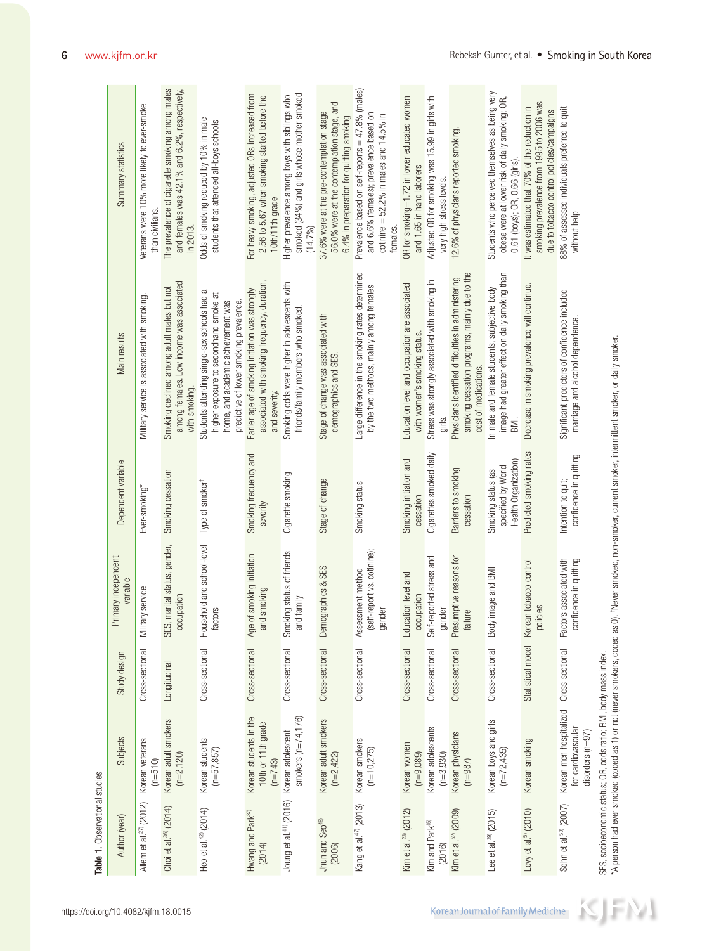| Author (year)                           | Subjects                                                                            | Study design    | Primary independent<br>variable                            | Dependent variable                                               | Main results                                                                                                                                                              | Summary statistics                                                                                                                                   |
|-----------------------------------------|-------------------------------------------------------------------------------------|-----------------|------------------------------------------------------------|------------------------------------------------------------------|---------------------------------------------------------------------------------------------------------------------------------------------------------------------------|------------------------------------------------------------------------------------------------------------------------------------------------------|
| Allem et al. <sup>27</sup> (2012)       | Korean veterans<br>$(n=510)$                                                        | Cross-sectional | Military service                                           | Ever-smoking*                                                    | Military service is associated with smoking.                                                                                                                              | Veterans were 10% more likely to ever-smoke<br>than civilians.                                                                                       |
| Choi et al. <sup>36</sup> (2014)        | Korean adult smokers<br>$(n=2, 120)$                                                | Longitudinal    | SES, marital status, gender,<br>occupation                 | Smoking cessation                                                | among females. Low income was associated<br>Smoking declined among adult males but not<br>with smoking.                                                                   | The prevalence of cigarette smoking among males<br>and females was 42.1% and 6.2%, respectively,<br>in 2013.                                         |
| Heo et al. <sup>42</sup> (2014)         | Korean students<br>$(n=57, 857)$                                                    | Cross-sectional | Household and school-level<br>factors                      | Type of smoker <sup>+</sup>                                      | ß<br>higher exposure to secondhand smoke at<br>Students attending single-sex schools had<br>predictive of lower smoking prevalence.<br>home, and academic achievement was | Odds of smoking reduced by 10% in male<br>students that attended all-boys schools                                                                    |
| Hwang and Park <sup>37)</sup><br>(2014) | Korean students in the<br>10th or 11th grade<br>$(n=743)$                           | Cross-sectional | of smoking initiation<br>and smoking<br>Age                | Smoking frequency and<br>severity                                | associated with smoking frequency, duration,<br>Earlier age of smoking initiation was strongly<br>and severity.                                                           | For heavy smoking, adjusted ORs increased from<br>2.56 to 5.67 when smoking started before the<br>10th/11th grade                                    |
| Joung et al. <sup>41)</sup> (2016)      | smokers $(n=74, 176)$<br>Korean adolescent                                          | Cross-sectional | Smoking status of friends<br>and family                    | Cigarette smoking                                                | Smoking odds were higher in adolescents with<br>friends/family members who smoked.                                                                                        | smoked (34%) and girls whose mother smoked<br>Higher prevalence among boys with siblings who<br>(14.7%)                                              |
| Jhun and Seo <sup>48)</sup><br>(2006)   | Korean adult smokers<br>$(n=2,422)$                                                 | Cross-sectional | Demographics & SES                                         | Stage of change                                                  | Stage of change was associated with<br>demographics and SES.                                                                                                              | 56.0% were at the contemplation stage, and<br>37.6% were at the pre-contemplation stage<br>6.4% in preparation for quitting smoking                  |
| Kang et al. <sup>47</sup> (2013)        | Korean smokers<br>$(n=10,275)$                                                      | Cross-sectional | (self-report vs. cotinine);<br>Assessment method<br>gender | Smoking status                                                   | Large difference in the smoking rates determined<br>by the two methods, mainly among females                                                                              | Prevalence based on self-reports = 47.8% (males)<br>and 6.6% (females); prevalence based on<br>cotinine = $52.2\%$ in males and 14.5% in<br>females. |
| Kim et al. <sup>23</sup> (2012)         | Korean women<br>$(n=9,089)$                                                         | Cross-sectional | Education level and<br>occupation                          | Smoking initiation and<br>cessation                              | Education level and occupation are associated<br>with women's smoking status.                                                                                             | OR for smoking=1.72 in lower educated women<br>and 1.65 in hand laborers                                                                             |
| Kim and Park <sup>45)</sup><br>(2016)   | Korean adolescents<br>$(n=3,930)$                                                   | Cross-sectional | Self-reported stress and<br>gender                         | Cigarettes smoked daily                                          | Stress was strongly associated with smoking in<br>girls.                                                                                                                  | Adjusted OR for smoking was 15.99 in girls with<br>very high stress levels.                                                                          |
| Kim et al. <sup>52</sup> (2009)         | Korean physicians<br>$(n=987)$                                                      | Cross-sectional | Presumptive reasons for<br>failure                         | Barriers to smoking<br>cessation                                 | smoking cessation programs, mainly due to the<br>Physicians identified difficulties in administering<br>cost of medications.                                              | 12.6% of physicians reported smoking                                                                                                                 |
| Lee et al. <sup>39</sup> (2015)         | Korean boys and girls<br>$(n=72, 435)$                                              | Cross-sectional | Body image and BMI                                         | Health Organization)<br>specified by World<br>Smoking status (as | image had greater effect on daily smoking than<br>In male and female students, subjective body<br>BMI.                                                                    | Students who perceived themselves as being very<br>obese were at lower risk of daily smoking; OR,<br>0.61 (boys); OR, 0.66 (girls)                   |
| Levy et al. <sup>9</sup> (2010)         | Korean smoking                                                                      |                 | Statistical model Korean tobacco control<br>policies       | Predicted smoking rates                                          | Decrease in smoking prevalence will continue.                                                                                                                             | smoking prevalence from 1995 to 2006 was<br>It was estimated that 70% of the reduction in<br>due to tobacco control policies/campaigns               |
| Sohn et al. <sup>50)</sup> (2007)       | Korean men hospitalized Cross-sectional<br>for cardiovascular<br>disorders $(n=97)$ |                 | Factors associated with<br>confidence in quitting          | confidence in quitting<br>Intention to quit;                     | Significant predictors of confidence included<br>marriage and alcohol dependence.                                                                                         | 88% of assessed individuals preferred to quit<br>without help                                                                                        |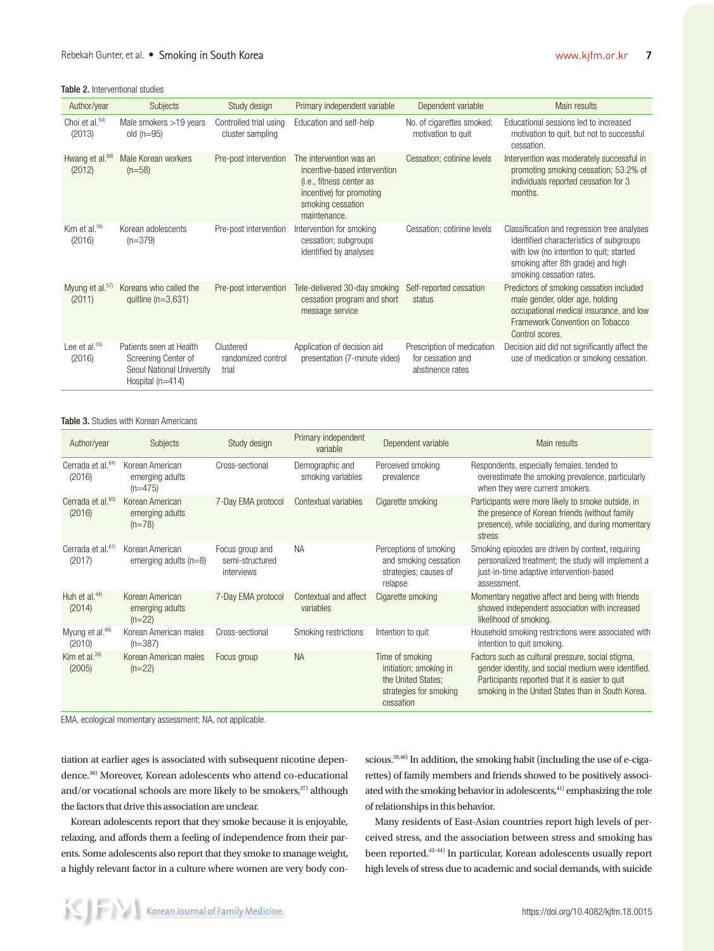| Author/year                           | <b>Subjects</b>                                                                                   | Study design                               | Primary independent variable                                                                                                                                  | Dependent variable                                                  | Main results                                                                                                                                                                                       |
|---------------------------------------|---------------------------------------------------------------------------------------------------|--------------------------------------------|---------------------------------------------------------------------------------------------------------------------------------------------------------------|---------------------------------------------------------------------|----------------------------------------------------------------------------------------------------------------------------------------------------------------------------------------------------|
| Choi et al. $54$<br>(2013)            | Male smokers >19 years<br>old $(n=95)$                                                            | Controlled trial using<br>cluster sampling | Education and self-help                                                                                                                                       | No. of cigarettes smoked;<br>motivation to quit                     | Educational sessions led to increased<br>motivation to quit, but not to successful<br>cessation.                                                                                                   |
| Hwang et al. <sup>68)</sup><br>(2012) | Male Korean workers<br>$(n=58)$                                                                   | Pre-post intervention                      | The intervention was an<br>incentive-based intervention<br>( <i>i.e.</i> , fitness center as<br>incentive) for promoting<br>smoking cessation<br>maintenance. | Cessation; cotinine levels                                          | Intervention was moderately successful in<br>promoting smoking cessation; 53.2% of<br>individuals reported cessation for 3<br>months.                                                              |
| Kim et al. <sup>56)</sup><br>(2016)   | Korean adolescents<br>$(n=379)$                                                                   | Pre-post intervention                      | Intervention for smoking<br>cessation; subgroups<br>identified by analyses                                                                                    | Cessation; cotinine levels                                          | Classification and regression tree analyses<br>identified characteristics of subgroups<br>with low (no intention to quit; started<br>smoking after 8th grade) and high<br>smoking cessation rates. |
| Myung et al. <sup>57)</sup><br>(2011) | Koreans who called the<br>quittine $(n=3.631)$                                                    | Pre-post intervention                      | Tele-delivered 30-day smoking<br>cessation program and short<br>message service                                                                               | Self-reported cessation<br>status                                   | Predictors of smoking cessation included<br>male gender, older age, holding<br>occupational medical insurance, and low<br>Framework Convention on Tobacco<br>Control scores.                       |
| Lee et al. $55$<br>(2016)             | Patients seen at Health<br>Screening Center of<br>Seoul National University<br>Hospital $(n=414)$ | Clustered<br>randomized control<br>trial   | Application of decision aid<br>presentation (7-minute video)                                                                                                  | Prescription of medication<br>for cessation and<br>abstinence rates | Decision aid did not significantly affect the<br>use of medication or smoking cessation.                                                                                                           |

Table 3. Studies with Korean Americans

| Author/year                             | Subjects                                        | Study design                                     | Primary independent<br>variable      | Dependent variable                                                                                     | Main results                                                                                                                                                                                                     |
|-----------------------------------------|-------------------------------------------------|--------------------------------------------------|--------------------------------------|--------------------------------------------------------------------------------------------------------|------------------------------------------------------------------------------------------------------------------------------------------------------------------------------------------------------------------|
| Cerrada et al. <sup>64)</sup><br>(2016) | Korean American<br>emerging adults<br>$(n=475)$ | Cross-sectional                                  | Demographic and<br>smoking variables | Perceived smoking<br>prevalence                                                                        | Respondents, especially females, tended to<br>overestimate the smoking prevalence, particularly<br>when they were current smokers.                                                                               |
| Cerrada et al. <sup>65)</sup><br>(2016) | Korean American<br>emerging adults<br>$(n=78)$  | 7-Day EMA protocol                               | Contextual variables                 | Cigarette smoking                                                                                      | Participants were more likely to smoke outside, in<br>the presence of Korean friends (without family<br>presence), while socializing, and during momentary<br>stress                                             |
| Cerrada et al. <sup>67)</sup><br>(2017) | Korean American<br>emerging adults $(n=8)$      | Focus group and<br>semi-structured<br>interviews | NA                                   | Perceptions of smoking<br>and smoking cessation<br>strategies; causes of<br>relapse                    | Smoking episodes are driven by context, requiring<br>personalized treatment; the study will implement a<br>just-in-time adaptive intervention-based<br>assessment.                                               |
| Huh et al. $44$<br>(2014)               | Korean American<br>emerging adults<br>$(n=22)$  | 7-Day EMA protocol                               | Contextual and affect<br>variables   | Cigarette smoking                                                                                      | Momentary negative affect and being with friends<br>showed independent association with increased<br>likelihood of smoking.                                                                                      |
| Myung et al. <sup>66)</sup><br>(2010)   | Korean American males<br>$(n=387)$              | Cross-sectional                                  | Smoking restrictions                 | Intention to quit                                                                                      | Household smoking restrictions were associated with<br>intention to quit smoking.                                                                                                                                |
| Kim et al. $28$<br>(2005)               | Korean American males<br>$(n=22)$               | Focus group                                      | <b>NA</b>                            | Time of smoking<br>initiation; smoking in<br>the United States:<br>strategies for smoking<br>cessation | Factors such as cultural pressure, social stigma,<br>gender identity, and social medium were identified.<br>Participants reported that it is easier to quit<br>smoking in the United States than in South Korea. |

EMA, ecological momentary assessment; NA, not applicable.

tiation at earlier ages is associated with subsequent nicotine dependence.38) Moreover, Korean adolescents who attend co-educational and/or vocational schools are more likely to be smokers, $37$ ) although the factors that drive this association are unclear.

Korean adolescents report that they smoke because it is enjoyable, relaxing, and affords them a feeling of independence from their parents. Some adolescents also report that they smoke to manage weight, a highly relevant factor in a culture where women are very body con-

scious.<sup>39,40)</sup> In addition, the smoking habit (including the use of e-cigarettes) of family members and friends showed to be positively associated with the smoking behavior in adolescents,<sup>41)</sup> emphasizing the role of relationships in this behavior.

Many residents of East-Asian countries report high levels of perceived stress, and the association between stress and smoking has been reported.42-44) In particular, Korean adolescents usually report high levels of stress due to academic and social demands, with suicide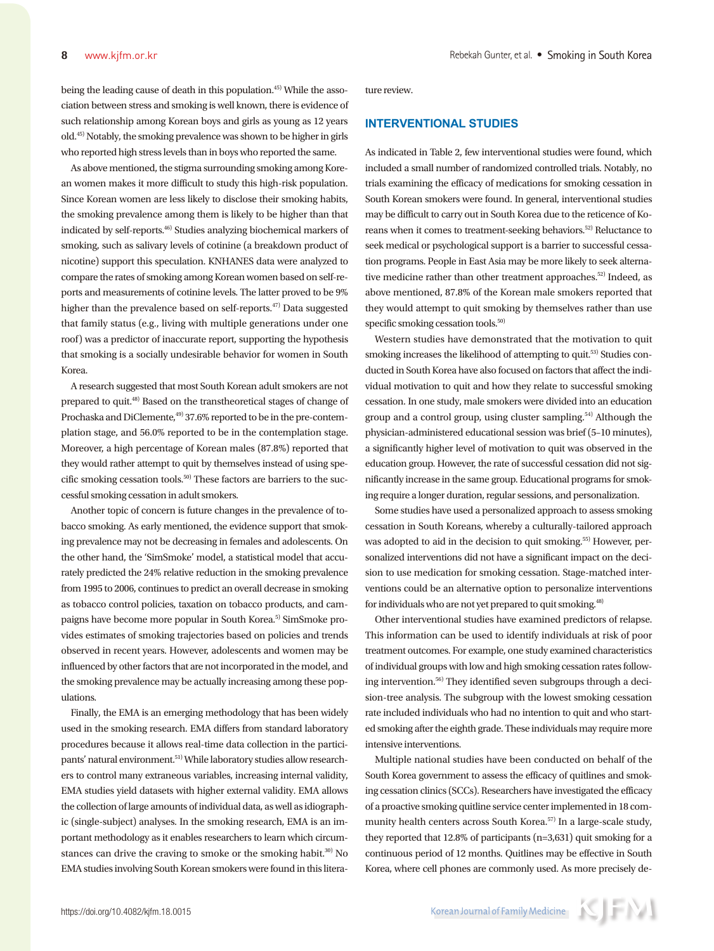being the leading cause of death in this population.45) While the association between stress and smoking is well known, there is evidence of such relationship among Korean boys and girls as young as 12 years old.45) Notably, the smoking prevalence was shown to be higher in girls who reported high stress levels than in boys who reported the same.

As above mentioned, the stigma surrounding smoking among Korean women makes it more difficult to study this high-risk population. Since Korean women are less likely to disclose their smoking habits, the smoking prevalence among them is likely to be higher than that indicated by self-reports.46) Studies analyzing biochemical markers of smoking, such as salivary levels of cotinine (a breakdown product of nicotine) support this speculation. KNHANES data were analyzed to compare the rates of smoking among Korean women based on self-reports and measurements of cotinine levels. The latter proved to be 9% higher than the prevalence based on self-reports.47) Data suggested that family status (e.g., living with multiple generations under one roof) was a predictor of inaccurate report, supporting the hypothesis that smoking is a socially undesirable behavior for women in South Korea.

A research suggested that most South Korean adult smokers are not prepared to quit.48) Based on the transtheoretical stages of change of Prochaska and DiClemente,<sup>49)</sup> 37.6% reported to be in the pre-contemplation stage, and 56.0% reported to be in the contemplation stage. Moreover, a high percentage of Korean males (87.8%) reported that they would rather attempt to quit by themselves instead of using specific smoking cessation tools.<sup>50)</sup> These factors are barriers to the successful smoking cessation in adult smokers.

Another topic of concern is future changes in the prevalence of tobacco smoking. As early mentioned, the evidence support that smoking prevalence may not be decreasing in females and adolescents. On the other hand, the 'SimSmoke' model, a statistical model that accurately predicted the 24% relative reduction in the smoking prevalence from 1995 to 2006, continues to predict an overall decrease in smoking as tobacco control policies, taxation on tobacco products, and campaigns have become more popular in South Korea.<sup>5)</sup> SimSmoke provides estimates of smoking trajectories based on policies and trends observed in recent years. However, adolescents and women may be influenced by other factors that are not incorporated in the model, and the smoking prevalence may be actually increasing among these populations.

Finally, the EMA is an emerging methodology that has been widely used in the smoking research. EMA differs from standard laboratory procedures because it allows real-time data collection in the participants' natural environment.51) While laboratory studies allow researchers to control many extraneous variables, increasing internal validity, EMA studies yield datasets with higher external validity. EMA allows the collection of large amounts of individual data, as well as idiographic (single-subject) analyses. In the smoking research, EMA is an important methodology as it enables researchers to learn which circumstances can drive the craving to smoke or the smoking habit. $30$  No EMA studies involving South Korean smokers were found in this literature review.

#### **INTERVENTIONAL STUDIES**

As indicated in Table 2, few interventional studies were found, which included a small number of randomized controlled trials. Notably, no trials examining the efficacy of medications for smoking cessation in South Korean smokers were found. In general, interventional studies may be difficult to carry out in South Korea due to the reticence of Koreans when it comes to treatment-seeking behaviors.<sup>52)</sup> Reluctance to seek medical or psychological support is a barrier to successful cessation programs. People in East Asia may be more likely to seek alternative medicine rather than other treatment approaches.<sup>52)</sup> Indeed, as above mentioned, 87.8% of the Korean male smokers reported that they would attempt to quit smoking by themselves rather than use specific smoking cessation tools.<sup>50)</sup>

Western studies have demonstrated that the motivation to quit smoking increases the likelihood of attempting to quit.<sup>53)</sup> Studies conducted in South Korea have also focused on factors that affect the individual motivation to quit and how they relate to successful smoking cessation. In one study, male smokers were divided into an education group and a control group, using cluster sampling.<sup>54)</sup> Although the physician-administered educational session was brief (5–10 minutes), a significantly higher level of motivation to quit was observed in the education group. However, the rate of successful cessation did not significantly increase in the same group. Educational programs for smoking require a longer duration, regular sessions, and personalization.

Some studies have used a personalized approach to assess smoking cessation in South Koreans, whereby a culturally-tailored approach was adopted to aid in the decision to quit smoking.<sup>55)</sup> However, personalized interventions did not have a significant impact on the decision to use medication for smoking cessation. Stage-matched interventions could be an alternative option to personalize interventions for individuals who are not yet prepared to quit smoking.48)

Other interventional studies have examined predictors of relapse. This information can be used to identify individuals at risk of poor treatment outcomes. For example, one study examined characteristics of individual groups with low and high smoking cessation rates following intervention.<sup>56)</sup> They identified seven subgroups through a decision-tree analysis. The subgroup with the lowest smoking cessation rate included individuals who had no intention to quit and who started smoking after the eighth grade. These individuals may require more intensive interventions.

Multiple national studies have been conducted on behalf of the South Korea government to assess the efficacy of quitlines and smoking cessation clinics (SCCs). Researchers have investigated the efficacy of a proactive smoking quitline service center implemented in 18 community health centers across South Korea.<sup>57)</sup> In a large-scale study, they reported that 12.8% of participants (n=3,631) quit smoking for a continuous period of 12 months. Quitlines may be effective in South Korea, where cell phones are commonly used. As more precisely de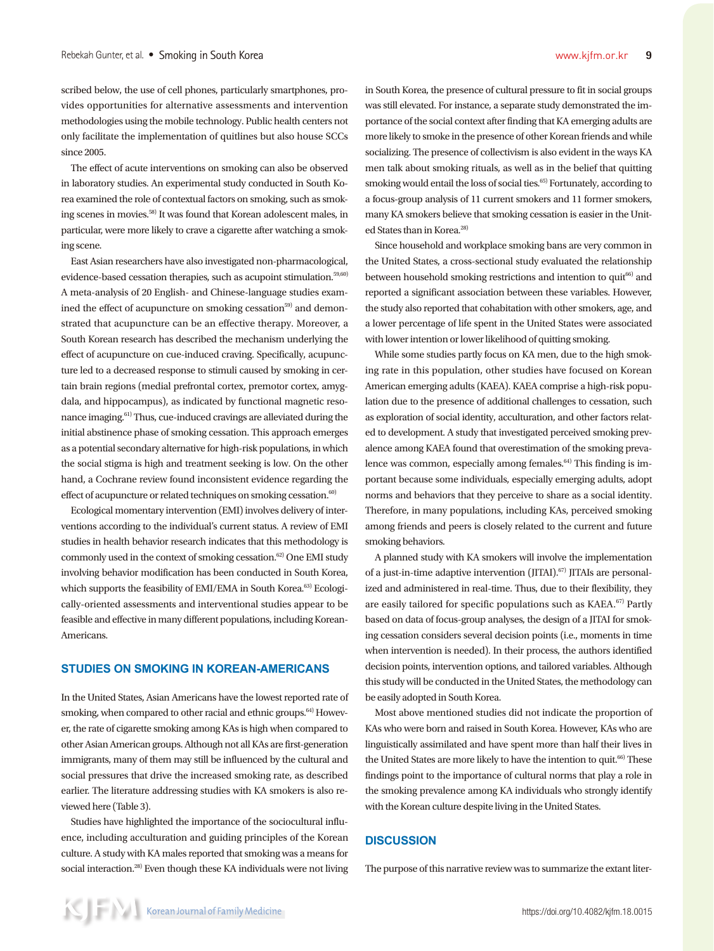scribed below, the use of cell phones, particularly smartphones, provides opportunities for alternative assessments and intervention methodologies using the mobile technology. Public health centers not only facilitate the implementation of quitlines but also house SCCs since 2005.

The effect of acute interventions on smoking can also be observed in laboratory studies. An experimental study conducted in South Korea examined the role of contextual factors on smoking, such as smoking scenes in movies.58) It was found that Korean adolescent males, in particular, were more likely to crave a cigarette after watching a smoking scene.

East Asian researchers have also investigated non-pharmacological, evidence-based cessation therapies, such as acupoint stimulation.<sup>59,60)</sup> A meta-analysis of 20 English- and Chinese-language studies examined the effect of acupuncture on smoking cessation<sup>59)</sup> and demonstrated that acupuncture can be an effective therapy. Moreover, a South Korean research has described the mechanism underlying the effect of acupuncture on cue-induced craving. Specifically, acupuncture led to a decreased response to stimuli caused by smoking in certain brain regions (medial prefrontal cortex, premotor cortex, amygdala, and hippocampus), as indicated by functional magnetic resonance imaging.61) Thus, cue-induced cravings are alleviated during the initial abstinence phase of smoking cessation. This approach emerges as a potential secondary alternative for high-risk populations, in which the social stigma is high and treatment seeking is low. On the other hand, a Cochrane review found inconsistent evidence regarding the effect of acupuncture or related techniques on smoking cessation.<sup>60)</sup>

Ecological momentary intervention (EMI) involves delivery of interventions according to the individual's current status. A review of EMI studies in health behavior research indicates that this methodology is commonly used in the context of smoking cessation.<sup>62)</sup> One EMI study involving behavior modification has been conducted in South Korea, which supports the feasibility of EMI/EMA in South Korea.<sup>63)</sup> Ecologically-oriented assessments and interventional studies appear to be feasible and effective in many different populations, including Korean-Americans.

# **STUDIES ON SMOKING IN KOREAN-AMERICANS**

In the United States, Asian Americans have the lowest reported rate of smoking, when compared to other racial and ethnic groups.<sup>64)</sup> However, the rate of cigarette smoking among KAs is high when compared to other Asian American groups. Although not all KAs are first-generation immigrants, many of them may still be influenced by the cultural and social pressures that drive the increased smoking rate, as described earlier. The literature addressing studies with KA smokers is also reviewed here (Table 3).

Studies have highlighted the importance of the sociocultural influence, including acculturation and guiding principles of the Korean culture. A study with KA males reported that smoking was a means for social interaction.<sup>28)</sup> Even though these KA individuals were not living in South Korea, the presence of cultural pressure to fit in social groups was still elevated. For instance, a separate study demonstrated the importance of the social context after finding that KA emerging adults are more likely to smoke in the presence of other Korean friends and while socializing. The presence of collectivism is also evident in the ways KA men talk about smoking rituals, as well as in the belief that quitting smoking would entail the loss of social ties.<sup>65)</sup> Fortunately, according to a focus-group analysis of 11 current smokers and 11 former smokers, many KA smokers believe that smoking cessation is easier in the United States than in Korea.<sup>28)</sup>

Since household and workplace smoking bans are very common in the United States, a cross-sectional study evaluated the relationship between household smoking restrictions and intention to quit<sup>66)</sup> and reported a significant association between these variables. However, the study also reported that cohabitation with other smokers, age, and a lower percentage of life spent in the United States were associated with lower intention or lower likelihood of quitting smoking.

While some studies partly focus on KA men, due to the high smoking rate in this population, other studies have focused on Korean American emerging adults (KAEA). KAEA comprise a high-risk population due to the presence of additional challenges to cessation, such as exploration of social identity, acculturation, and other factors related to development. A study that investigated perceived smoking prevalence among KAEA found that overestimation of the smoking prevalence was common, especially among females.<sup>64)</sup> This finding is important because some individuals, especially emerging adults, adopt norms and behaviors that they perceive to share as a social identity. Therefore, in many populations, including KAs, perceived smoking among friends and peers is closely related to the current and future smoking behaviors.

A planned study with KA smokers will involve the implementation of a just-in-time adaptive intervention  $(JITAI).<sup>(67)</sup> JITAIs$  are personalized and administered in real-time. Thus, due to their flexibility, they are easily tailored for specific populations such as KAEA.<sup>67)</sup> Partly based on data of focus-group analyses, the design of a JITAI for smoking cessation considers several decision points (i.e., moments in time when intervention is needed). In their process, the authors identified decision points, intervention options, and tailored variables. Although this study will be conducted in the United States, the methodology can be easily adopted in South Korea.

Most above mentioned studies did not indicate the proportion of KAs who were born and raised in South Korea. However, KAs who are linguistically assimilated and have spent more than half their lives in the United States are more likely to have the intention to quit.<sup>66)</sup> These findings point to the importance of cultural norms that play a role in the smoking prevalence among KA individuals who strongly identify with the Korean culture despite living in the United States.

#### **DISCUSSION**

The purpose of this narrative review was to summarize the extant liter-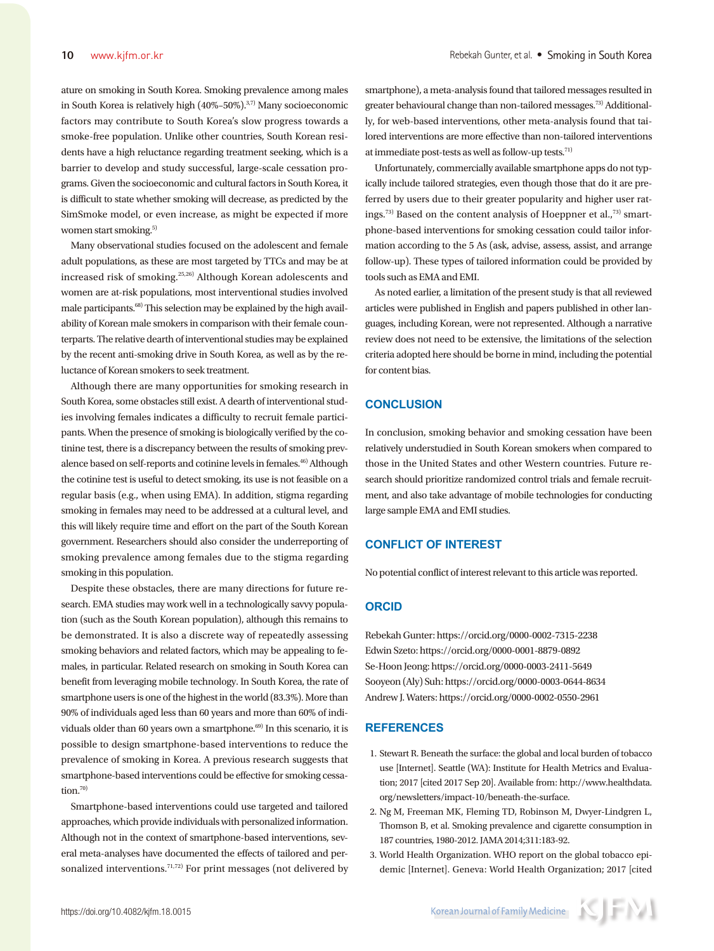ature on smoking in South Korea. Smoking prevalence among males in South Korea is relatively high (40%–50%).3,7) Many socioeconomic factors may contribute to South Korea's slow progress towards a smoke-free population. Unlike other countries, South Korean residents have a high reluctance regarding treatment seeking, which is a barrier to develop and study successful, large-scale cessation programs. Given the socioeconomic and cultural factors in South Korea, it is difficult to state whether smoking will decrease, as predicted by the SimSmoke model, or even increase, as might be expected if more women start smoking.<sup>5)</sup>

Many observational studies focused on the adolescent and female adult populations, as these are most targeted by TTCs and may be at increased risk of smoking.25,26) Although Korean adolescents and women are at-risk populations, most interventional studies involved male participants.68) This selection may be explained by the high availability of Korean male smokers in comparison with their female counterparts. The relative dearth of interventional studies may be explained by the recent anti-smoking drive in South Korea, as well as by the reluctance of Korean smokers to seek treatment.

Although there are many opportunities for smoking research in South Korea, some obstacles still exist. A dearth of interventional studies involving females indicates a difficulty to recruit female participants. When the presence of smoking is biologically verified by the cotinine test, there is a discrepancy between the results of smoking prevalence based on self-reports and cotinine levels in females.<sup>46)</sup> Although the cotinine test is useful to detect smoking, its use is not feasible on a regular basis (e.g., when using EMA). In addition, stigma regarding smoking in females may need to be addressed at a cultural level, and this will likely require time and effort on the part of the South Korean government. Researchers should also consider the underreporting of smoking prevalence among females due to the stigma regarding smoking in this population.

Despite these obstacles, there are many directions for future research. EMA studies may work well in a technologically savvy population (such as the South Korean population), although this remains to be demonstrated. It is also a discrete way of repeatedly assessing smoking behaviors and related factors, which may be appealing to females, in particular. Related research on smoking in South Korea can benefit from leveraging mobile technology. In South Korea, the rate of smartphone users is one of the highest in the world (83.3%). More than 90% of individuals aged less than 60 years and more than 60% of individuals older than 60 years own a smartphone.<sup>69)</sup> In this scenario, it is possible to design smartphone-based interventions to reduce the prevalence of smoking in Korea. A previous research suggests that smartphone-based interventions could be effective for smoking cessation.<sup>70)</sup>

Smartphone-based interventions could use targeted and tailored approaches, which provide individuals with personalized information. Although not in the context of smartphone-based interventions, several meta-analyses have documented the effects of tailored and personalized interventions.<sup>71,72)</sup> For print messages (not delivered by

smartphone), a meta-analysis found that tailored messages resulted in greater behavioural change than non-tailored messages.<sup>73)</sup> Additionally, for web-based interventions, other meta-analysis found that tailored interventions are more effective than non-tailored interventions at immediate post-tests as well as follow-up tests.<sup>71)</sup>

Unfortunately, commercially available smartphone apps do not typically include tailored strategies, even though those that do it are preferred by users due to their greater popularity and higher user ratings.<sup>73)</sup> Based on the content analysis of Hoeppner et al.,<sup>73)</sup> smartphone-based interventions for smoking cessation could tailor information according to the 5 As (ask, advise, assess, assist, and arrange follow-up). These types of tailored information could be provided by tools such as EMA and EMI.

As noted earlier, a limitation of the present study is that all reviewed articles were published in English and papers published in other languages, including Korean, were not represented. Although a narrative review does not need to be extensive, the limitations of the selection criteria adopted here should be borne in mind, including the potential for content bias.

# **CONCLUSION**

In conclusion, smoking behavior and smoking cessation have been relatively understudied in South Korean smokers when compared to those in the United States and other Western countries. Future research should prioritize randomized control trials and female recruitment, and also take advantage of mobile technologies for conducting large sample EMA and EMI studies.

# **CONFLICT OF INTEREST**

No potential conflict of interest relevant to this article was reported.

# **ORCID**

Rebekah Gunter: https://orcid.org/0000-0002-7315-2238 Edwin Szeto: https://orcid.org/0000-0001-8879-0892 Se-Hoon Jeong: https://orcid.org/0000-0003-2411-5649 Sooyeon (Aly) Suh: https://orcid.org/0000-0003-0644-8634 Andrew J. Waters: https://orcid.org/0000-0002-0550-2961

#### **REFERENCES**

- 1. Stewart R. Beneath the surface: the global and local burden of tobacco use [Internet]. Seattle (WA): Institute for Health Metrics and Evaluation; 2017 [cited 2017 Sep 20]. Available from: http://www.healthdata. org/newsletters/impact-10/beneath-the-surface.
- 2. Ng M, Freeman MK, Fleming TD, Robinson M, Dwyer-Lindgren L, Thomson B, et al. Smoking prevalence and cigarette consumption in 187 countries, 1980-2012. JAMA 2014;311:183-92.
- 3. World Health Organization. WHO report on the global tobacco epidemic [Internet]. Geneva: World Health Organization; 2017 [cited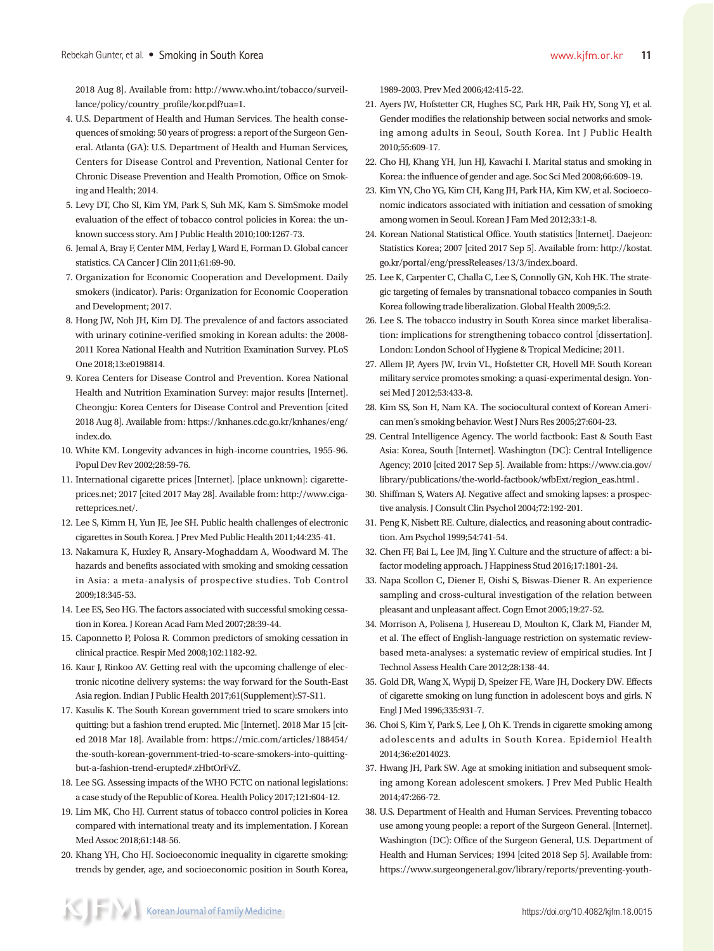2018 Aug 8]. Available from: http://www.who.int/tobacco/surveillance/policy/country\_profile/kor.pdf?ua=1.

- 4. U.S. Department of Health and Human Services. The health consequences of smoking: 50 years of progress: a report of the Surgeon General. Atlanta (GA): U.S. Department of Health and Human Services, Centers for Disease Control and Prevention, National Center for Chronic Disease Prevention and Health Promotion, Office on Smoking and Health; 2014.
- 5. Levy DT, Cho SI, Kim YM, Park S, Suh MK, Kam S. SimSmoke model evaluation of the effect of tobacco control policies in Korea: the unknown success story. Am J Public Health 2010;100:1267-73.
- 6. Jemal A, Bray F, Center MM, Ferlay J, Ward E, Forman D. Global cancer statistics. CA Cancer J Clin 2011;61:69-90.
- 7. Organization for Economic Cooperation and Development. Daily smokers (indicator). Paris: Organization for Economic Cooperation and Development; 2017.
- 8. Hong JW, Noh JH, Kim DJ. The prevalence of and factors associated with urinary cotinine-verified smoking in Korean adults: the 2008- 2011 Korea National Health and Nutrition Examination Survey. PLoS One 2018;13:e0198814.
- 9. Korea Centers for Disease Control and Prevention. Korea National Health and Nutrition Examination Survey: major results [Internet]. Cheongju: Korea Centers for Disease Control and Prevention [cited 2018 Aug 8]. Available from: https://knhanes.cdc.go.kr/knhanes/eng/ index.do.
- 10. White KM. Longevity advances in high‐income countries, 1955-96. Popul Dev Rev 2002;28:59-76.
- 11. International cigarette prices [Internet]. [place unknown]: cigaretteprices.net; 2017 [cited 2017 May 28]. Available from: http://www.cigaretteprices.net/.
- 12. Lee S, Kimm H, Yun JE, Jee SH. Public health challenges of electronic cigarettes in South Korea. J Prev Med Public Health 2011;44:235-41.
- 13. Nakamura K, Huxley R, Ansary-Moghaddam A, Woodward M. The hazards and benefits associated with smoking and smoking cessation in Asia: a meta-analysis of prospective studies. Tob Control 2009;18:345-53.
- 14. Lee ES, Seo HG. The factors associated with successful smoking cessation in Korea. J Korean Acad Fam Med 2007;28:39-44.
- 15. Caponnetto P, Polosa R. Common predictors of smoking cessation in clinical practice. Respir Med 2008;102:1182-92.
- 16. Kaur J, Rinkoo AV. Getting real with the upcoming challenge of electronic nicotine delivery systems: the way forward for the South-East Asia region. Indian J Public Health 2017;61(Supplement):S7-S11.
- 17. Kasulis K. The South Korean government tried to scare smokers into quitting: but a fashion trend erupted. Mic [Internet]. 2018 Mar 15 [cited 2018 Mar 18]. Available from: https://mic.com/articles/188454/ the-south-korean-government-tried-to-scare-smokers-into-quittingbut-a-fashion-trend-erupted#.zHbtOrFvZ.
- 18. Lee SG. Assessing impacts of the WHO FCTC on national legislations: a case study of the Republic of Korea. Health Policy 2017;121:604-12.
- 19. Lim MK, Cho HJ. Current status of tobacco control policies in Korea compared with international treaty and its implementation. J Korean Med Assoc 2018;61:148-56.
- 20. Khang YH, Cho HJ. Socioeconomic inequality in cigarette smoking: trends by gender, age, and socioeconomic position in South Korea,

1989-2003. Prev Med 2006;42:415-22.

- 21. Ayers JW, Hofstetter CR, Hughes SC, Park HR, Paik HY, Song YJ, et al. Gender modifies the relationship between social networks and smoking among adults in Seoul, South Korea. Int J Public Health 2010;55:609-17.
- 22. Cho HJ, Khang YH, Jun HJ, Kawachi I. Marital status and smoking in Korea: the influence of gender and age. Soc Sci Med 2008;66:609-19.
- 23. Kim YN, Cho YG, Kim CH, Kang JH, Park HA, Kim KW, et al. Socioeconomic indicators associated with initiation and cessation of smoking among women in Seoul. Korean J Fam Med 2012;33:1-8.
- 24. Korean National Statistical Office. Youth statistics [Internet]. Daejeon: Statistics Korea; 2007 [cited 2017 Sep 5]. Available from: http://kostat. go.kr/portal/eng/pressReleases/13/3/index.board.
- 25. Lee K, Carpenter C, Challa C, Lee S, Connolly GN, Koh HK. The strategic targeting of females by transnational tobacco companies in South Korea following trade liberalization. Global Health 2009;5:2.
- 26. Lee S. The tobacco industry in South Korea since market liberalisation: implications for strengthening tobacco control [dissertation]. London: London School of Hygiene & Tropical Medicine; 2011.
- 27. Allem JP, Ayers JW, Irvin VL, Hofstetter CR, Hovell MF. South Korean military service promotes smoking: a quasi-experimental design. Yonsei Med J 2012;53:433-8.
- 28. Kim SS, Son H, Nam KA. The sociocultural context of Korean American men's smoking behavior. West J Nurs Res 2005;27:604-23.
- 29. Central Intelligence Agency. The world factbook: East & South East Asia: Korea, South [Internet]. Washington (DC): Central Intelligence Agency; 2010 [cited 2017 Sep 5]. Available from: https://www.cia.gov/ library/publications/the-world-factbook/wfbExt/region\_eas.html .
- 30. Shiffman S, Waters AJ. Negative affect and smoking lapses: a prospective analysis. J Consult Clin Psychol 2004;72:192-201.
- 31. Peng K, Nisbett RE. Culture, dialectics, and reasoning about contradiction. Am Psychol 1999;54:741-54.
- 32. Chen FF, Bai L, Lee JM, Jing Y. Culture and the structure of affect: a bifactor modeling approach. J Happiness Stud 2016;17:1801-24.
- 33. Napa Scollon C, Diener E, Oishi S, Biswas-Diener R. An experience sampling and cross-cultural investigation of the relation between pleasant and unpleasant affect. Cogn Emot 2005;19:27-52.
- 34. Morrison A, Polisena J, Husereau D, Moulton K, Clark M, Fiander M, et al. The effect of English-language restriction on systematic reviewbased meta-analyses: a systematic review of empirical studies. Int J Technol Assess Health Care 2012;28:138-44.
- 35. Gold DR, Wang X, Wypij D, Speizer FE, Ware JH, Dockery DW. Effects of cigarette smoking on lung function in adolescent boys and girls. N Engl J Med 1996;335:931-7.
- 36. Choi S, Kim Y, Park S, Lee J, Oh K. Trends in cigarette smoking among adolescents and adults in South Korea. Epidemiol Health 2014;36:e2014023.
- 37. Hwang JH, Park SW. Age at smoking initiation and subsequent smoking among Korean adolescent smokers. J Prev Med Public Health 2014;47:266-72.
- 38. U.S. Department of Health and Human Services. Preventing tobacco use among young people: a report of the Surgeon General. [Internet]. Washington (DC): Office of the Surgeon General, U.S. Department of Health and Human Services; 1994 [cited 2018 Sep 5]. Available from: https://www.surgeongeneral.gov/library/reports/preventing-youth-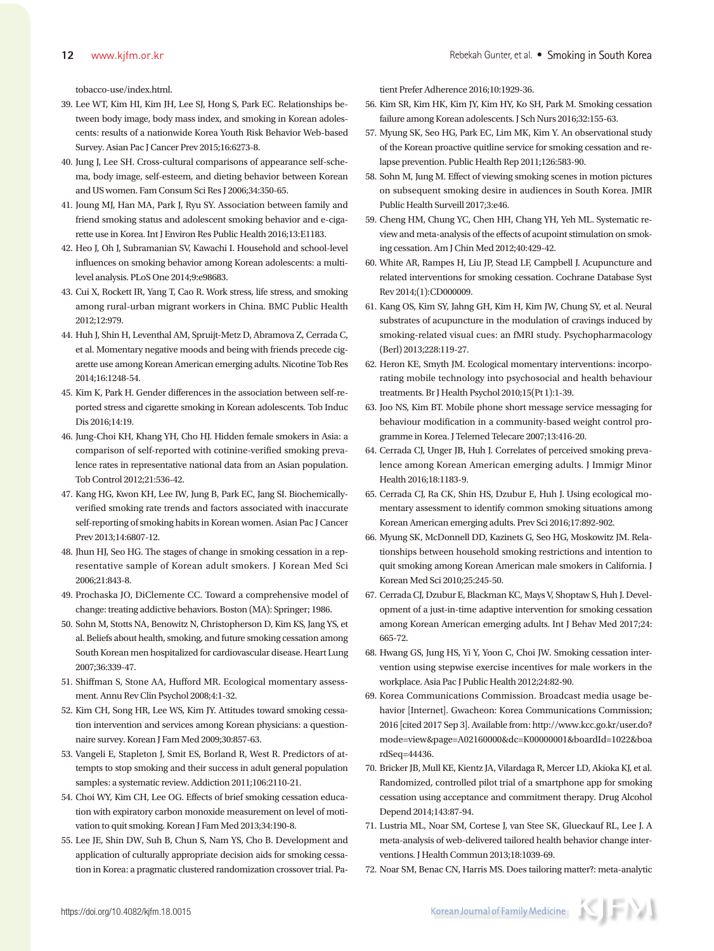tobacco-use/index.html.

- 39. Lee WT, Kim HI, Kim JH, Lee SJ, Hong S, Park EC. Relationships between body image, body mass index, and smoking in Korean adolescents: results of a nationwide Korea Youth Risk Behavior Web-based Survey. Asian Pac J Cancer Prev 2015;16:6273-8.
- 40. Jung J, Lee SH. Cross‐cultural comparisons of appearance self‐schema, body image, self‐esteem, and dieting behavior between Korean and US women. Fam Consum Sci Res J 2006;34:350-65.
- 41. Joung MJ, Han MA, Park J, Ryu SY. Association between family and friend smoking status and adolescent smoking behavior and e-cigarette use in Korea. Int J Environ Res Public Health 2016;13:E1183.
- 42. Heo J, Oh J, Subramanian SV, Kawachi I. Household and school-level influences on smoking behavior among Korean adolescents: a multilevel analysis. PLoS One 2014;9:e98683.
- 43. Cui X, Rockett IR, Yang T, Cao R. Work stress, life stress, and smoking among rural-urban migrant workers in China. BMC Public Health 2012;12:979.
- 44. Huh J, Shin H, Leventhal AM, Spruijt-Metz D, Abramova Z, Cerrada C, et al. Momentary negative moods and being with friends precede cigarette use among Korean American emerging adults. Nicotine Tob Res 2014;16:1248-54.
- 45. Kim K, Park H. Gender differences in the association between self-reported stress and cigarette smoking in Korean adolescents. Tob Induc Dis 2016;14:19.
- 46. Jung-Choi KH, Khang YH, Cho HJ. Hidden female smokers in Asia: a comparison of self-reported with cotinine-verified smoking prevalence rates in representative national data from an Asian population. Tob Control 2012;21:536-42.
- 47. Kang HG, Kwon KH, Lee IW, Jung B, Park EC, Jang SI. Biochemicallyverified smoking rate trends and factors associated with inaccurate self-reporting of smoking habits in Korean women. Asian Pac J Cancer Prev 2013;14:6807-12.
- 48. Jhun HJ, Seo HG. The stages of change in smoking cessation in a representative sample of Korean adult smokers. J Korean Med Sci 2006;21:843-8.
- 49. Prochaska JO, DiClemente CC. Toward a comprehensive model of change: treating addictive behaviors. Boston (MA): Springer; 1986.
- 50. Sohn M, Stotts NA, Benowitz N, Christopherson D, Kim KS, Jang YS, et al. Beliefs about health, smoking, and future smoking cessation among South Korean men hospitalized for cardiovascular disease. Heart Lung 2007;36:339-47.
- 51. Shiffman S, Stone AA, Hufford MR. Ecological momentary assessment. Annu Rev Clin Psychol 2008;4:1-32.
- 52. Kim CH, Song HR, Lee WS, Kim JY. Attitudes toward smoking cessation intervention and services among Korean physicians: a questionnaire survey. Korean J Fam Med 2009;30:857-63.
- 53. Vangeli E, Stapleton J, Smit ES, Borland R, West R. Predictors of attempts to stop smoking and their success in adult general population samples: a systematic review. Addiction 2011;106:2110-21.
- 54. Choi WY, Kim CH, Lee OG. Effects of brief smoking cessation education with expiratory carbon monoxide measurement on level of motivation to quit smoking. Korean J Fam Med 2013;34:190-8.
- 55. Lee JE, Shin DW, Suh B, Chun S, Nam YS, Cho B. Development and application of culturally appropriate decision aids for smoking cessation in Korea: a pragmatic clustered randomization crossover trial. Pa-

tient Prefer Adherence 2016;10:1929-36.

- 56. Kim SR, Kim HK, Kim JY, Kim HY, Ko SH, Park M. Smoking cessation failure among Korean adolescents. J Sch Nurs 2016;32:155-63.
- 57. Myung SK, Seo HG, Park EC, Lim MK, Kim Y. An observational study of the Korean proactive quitline service for smoking cessation and relapse prevention. Public Health Rep 2011;126:583-90.
- 58. Sohn M, Jung M. Effect of viewing smoking scenes in motion pictures on subsequent smoking desire in audiences in South Korea. JMIR Public Health Surveill 2017;3:e46.
- 59. Cheng HM, Chung YC, Chen HH, Chang YH, Yeh ML. Systematic review and meta-analysis of the effects of acupoint stimulation on smoking cessation. Am J Chin Med 2012;40:429-42.
- 60. White AR, Rampes H, Liu JP, Stead LF, Campbell J. Acupuncture and related interventions for smoking cessation. Cochrane Database Syst Rev 2014;(1):CD000009.
- 61. Kang OS, Kim SY, Jahng GH, Kim H, Kim JW, Chung SY, et al. Neural substrates of acupuncture in the modulation of cravings induced by smoking-related visual cues: an fMRI study. Psychopharmacology (Berl) 2013;228:119-27.
- 62. Heron KE, Smyth JM. Ecological momentary interventions: incorporating mobile technology into psychosocial and health behaviour treatments. Br J Health Psychol 2010;15(Pt 1):1-39.
- 63. Joo NS, Kim BT. Mobile phone short message service messaging for behaviour modification in a community-based weight control programme in Korea. J Telemed Telecare 2007;13:416-20.
- 64. Cerrada CJ, Unger JB, Huh J. Correlates of perceived smoking prevalence among Korean American emerging adults. J Immigr Minor Health 2016;18:1183-9.
- 65. Cerrada CJ, Ra CK, Shin HS, Dzubur E, Huh J. Using ecological momentary assessment to identify common smoking situations among Korean American emerging adults. Prev Sci 2016;17:892-902.
- 66. Myung SK, McDonnell DD, Kazinets G, Seo HG, Moskowitz JM. Relationships between household smoking restrictions and intention to quit smoking among Korean American male smokers in California. J Korean Med Sci 2010;25:245-50.
- 67. Cerrada CJ, Dzubur E, Blackman KC, Mays V, Shoptaw S, Huh J. Development of a just-in-time adaptive intervention for smoking cessation among Korean American emerging adults. Int J Behav Med 2017;24: 665-72.
- 68. Hwang GS, Jung HS, Yi Y, Yoon C, Choi JW. Smoking cessation intervention using stepwise exercise incentives for male workers in the workplace. Asia Pac J Public Health 2012;24:82-90.
- 69. Korea Communications Commission. Broadcast media usage behavior [Internet]. Gwacheon: Korea Communications Commission; 2016 [cited 2017 Sep 3]. Available from: http://www.kcc.go.kr/user.do? mode=view&page=A02160000&dc=K00000001&boardId=1022&boa rdSeq=44436.
- 70. Bricker JB, Mull KE, Kientz JA, Vilardaga R, Mercer LD, Akioka KJ, et al. Randomized, controlled pilot trial of a smartphone app for smoking cessation using acceptance and commitment therapy. Drug Alcohol Depend 2014;143:87-94.
- 71. Lustria ML, Noar SM, Cortese J, van Stee SK, Glueckauf RL, Lee J. A meta-analysis of web-delivered tailored health behavior change interventions. J Health Commun 2013;18:1039-69.
- 72. Noar SM, Benac CN, Harris MS. Does tailoring matter?: meta-analytic